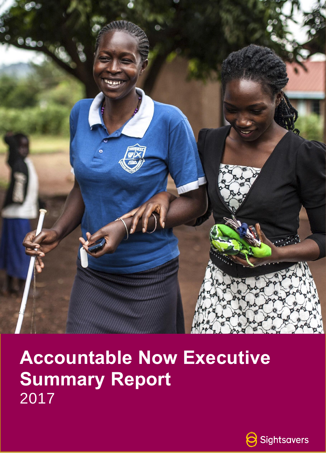

# **Accountable Now Executive Summary Report**  2017

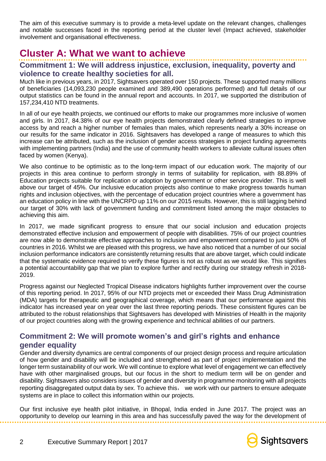The aim of this executive summary is to provide a meta-level update on the relevant changes, challenges and notable successes faced in the reporting period at the cluster level (Impact achieved, stakeholder involvement and organisational effectiveness.

### **Cluster A: What we want to achieve**

#### **Commitment 1: We will address injustice, exclusion, inequality, poverty and violence to create healthy societies for all.**

Much like in previous years, in 2017, Sightsavers operated over 150 projects. These supported many millions of beneficiaries (14,093,230 people examined and 389,490 operations performed) and full details of our output statistics can be found in the annual report and accounts. In 2017, we supported the distribution of 157,234,410 NTD treatments.

In all of our eye health projects, we continued our efforts to make our programmes more inclusive of women and girls. In 2017, 84.38% of our eye health projects demonstrated clearly defined strategies to improve access by and reach a higher number of females than males, which represents nearly a 30% increase on our results for the same indicator in 2016. Sightsavers has developed a range of measures to which this increase can be attributed, such as the inclusion of gender access strategies in project funding agreements with implementing partners (India) and the use of community health workers to alleviate cultural issues often faced by women (Kenya).

We also continue to be optimistic as to the long-term impact of our education work. The majority of our projects in this area continue to perform strongly in terms of suitability for replication, with 88.89% of Education projects suitable for replication or adoption by government or other service provider. This is well above our target of 45%. Our inclusive education projects also continue to make progress towards human rights and inclusion objectives, with the percentage of education project countries where a government has an education policy in line with the UNCRPD up 11% on our 2015 results. However, this is still lagging behind our target of 30% with lack of government funding and commitment listed among the major obstacles to achieving this aim.

In 2017, we made significant progress to ensure that our social inclusion and education projects demonstrated effective inclusion and empowerment of people with disabilities. 75% of our project countries are now able to demonstrate effective approaches to inclusion and empowerment compared to just 50% of countries in 2016. Whilst we are pleased with this progress, we have also noticed that a number of our social inclusion performance indicators are consistently returning results that are above target, which could indicate that the systematic evidence required to verify these figures is not as robust as we would like. This signifies a potential accountability gap that we plan to explore further and rectify during our strategy refresh in 2018- 2019.

Progress against our Neglected Tropical Disease indicators highlights further improvement over the course of this reporting period. In 2017, 95% of our NTD projects met or exceeded their Mass Drug Administration (MDA) targets for therapeutic and geographical coverage, which means that our performance against this indicator has increased year on year over the last three reporting periods. These consistent figures can be attributed to the robust relationships that Sightsavers has developed with Ministries of Health in the majority of our project countries along with the growing experience and technical abilities of our partners.

#### **Commitment 2: We will promote women's and girl's rights and enhance gender equality**

Gender and diversity dynamics are central components of our project design process and require articulation of how gender and disability will be included and strengthened as part of project implementation and the longer term sustainability of our work. We will continue to explore what level of engagement we can effectively have with other marginalised groups, but our focus in the short to medium term will be on gender and disability. Sightsavers also considers issues of gender and diversity in programme monitoring with all projects reporting disaggregated output data by sex. To achieve this, we work with our partners to ensure adequate systems are in place to collect this information within our projects.

Our first inclusive eye health pilot initiative, in Bhopal, India ended in June 2017. The project was an opportunity to develop our learning in this area and has successfully paved the way for the development of

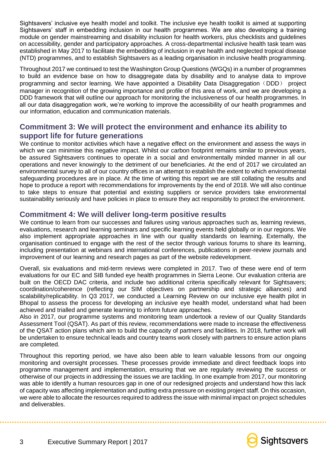Sightsavers' inclusive eye health model and toolkit. The inclusive eye health toolkit is aimed at supporting Sightsavers' staff in embedding inclusion in our health programmes. We are also developing a training module on gender mainstreaming and disability inclusion for health workers, plus checklists and guidelines on accessibility, gender and participatory approaches. A cross-departmental inclusive health task team was established in May 2017 to facilitate the embedding of inclusion in eye health and neglected tropical disease (NTD) programmes, and to establish Sightsavers as a leading organisation in inclusive health programming.

Throughout 2017 we continued to test the Washington Group Questions (WGQs) in a number of programmes to build an evidence base on how to disaggregate data by disability and to analyse data to improve programming and sector learning. We have appointed a Disability Data Disaggregation (DDD) project manager in recognition of the growing importance and profile of this area of work, and we are developing a DDD framework that will outline our approach for monitoring the inclusiveness of our health programmes. In all our data disaggregation work, we're working to improve the accessibility of our health programmes and our information, education and communication materials.

#### **Commitment 3: We will protect the environment and enhance its ability to support life for future generations**

We continue to monitor activities which have a negative effect on the environment and assess the ways in which we can minimise this negative impact. Whilst our carbon footprint remains similar to previous years, be assured Sightsavers continues to operate in a social and environmentally minded manner in all our operations and never knowingly to the detriment of our beneficiaries. At the end of 2017 we circulated an environmental survey to all of our country offices in an attempt to establish the extent to which environmental safeguarding procedures are in place. At the time of writing this report we are still collating the results and hope to produce a report with recommendations for improvements by the end of 2018. We will also continue to take steps to ensure that potential and existing suppliers or service providers take environmental sustainability seriously and have policies in place to ensure they act responsibly to protect the environment.

#### **Commitment 4: We will deliver long-term positive results**

We continue to learn from our successes and failures using various approaches such as, learning reviews, evaluations, research and learning seminars and specific learning events held globally or in our regions. We also implement appropriate approaches in line with our quality standards on learning. Externally, the organisation continued to engage with the rest of the sector through various forums to share its learning, including presentation at webinars and international conferences, publications in peer-review journals and improvement of our learning and research pages as part of the website redevelopment.

Overall, six evaluations and mid-term reviews were completed in 2017. Two of these were end of term evaluations for our EC and SIB funded eye health programmes in Sierra Leone. Our evaluation criteria are built on the OECD DAC criteria, and include two additional criteria specifically relevant for Sightsavers; coordination/coherence (reflecting our SIM objectives on partnership and strategic alliances) and scalability/replicability. In Q3 2017, we conducted a Learning Review on our inclusive eye health pilot in Bhopal to assess the process for developing an inclusive eye health model, understand what had been achieved and trialled and generate learning to inform future approaches.

Also in 2017, our programme systems and monitoring team undertook a review of our Quality Standards Assessment Tool (QSAT). As part of this review, recommendations were made to increase the effectiveness of the QSAT action plans which aim to build the capacity of partners and facilities. In 2018, further work will be undertaken to ensure technical leads and country teams work closely with partners to ensure action plans are completed.

Throughout this reporting period, we have also been able to learn valuable lessons from our ongoing monitoring and oversight processes. These processes provide immediate and direct feedback loops into programme management and implementation, ensuring that we are regularly reviewing the success or otherwise of our projects in addressing the issues we are tackling. In one example from 2017, our monitoring was able to identify a human resources gap in one of our redesigned projects and understand how this lack of capacity was affecting implementation and putting extra pressure on existing project staff. On this occasion, we were able to allocate the resources required to address the issue with minimal impact on project schedules and deliverables.

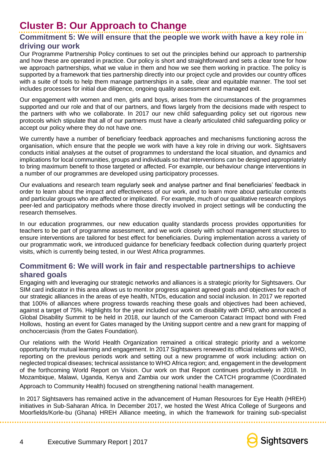## **Cluster B: Our Approach to Change**

#### **Commitment 5: We will ensure that the people we work with have a key role in driving our work**

Our Programme Partnership Policy continues to set out the principles behind our approach to partnership and how these are operated in practice. Our policy is short and straightforward and sets a clear tone for how we approach partnerships, what we value in them and how we see them working in practice. The policy is supported by a framework that ties partnership directly into our project cycle and provides our country offices with a suite of tools to help them manage partnerships in a safe, clear and equitable manner. The tool set includes processes for initial due diligence, ongoing quality assessment and managed exit.

Our engagement with women and men, girls and boys, arises from the circumstances of the programmes supported and our role and that of our partners, and flows largely from the decisions made with respect to the partners with who we collaborate. In 2017 our new child safeguarding policy set out rigorous new protocols which stipulate that all of our partners must have a clearly articulated child safeguarding policy or accept our policy where they do not have one.

We currently have a number of beneficiary feedback approaches and mechanisms functioning across the organisation, which ensure that the people we work with have a key role in driving our work. Sightsavers conducts initial analyses at the outset of programmes to understand the local situation, and dynamics and implications for local communities, groups and individuals so that interventions can be designed appropriately to bring maximum benefit to those targeted or affected. For example, our behaviour change interventions in a number of our programmes are developed using participatory processes.

Our evaluations and research team regularly seek and analyse partner and final beneficiaries' feedback in order to learn about the impact and effectiveness of our work, and to learn more about particular contexts and particular groups who are affected or implicated. For example, much of our qualitative research employs peer-led and participatory methods where those directly involved in project settings will be conducting the research themselves.

In our education programmes, our new education quality standards process provides opportunities for teachers to be part of programme assessment, and we work closely with school management structures to ensure interventions are tailored for best effect for beneficiaries. During implementation across a variety of our programmatic work, we introduced guidance for beneficiary feedback collection during quarterly project visits, which is currently being tested, in our West Africa programmes.

#### **Commitment 6: We will work in fair and respectable partnerships to achieve shared goals**

Engaging with and leveraging our strategic networks and alliances is a strategic priority for Sightsavers. Our SIM card indicator in this area allows us to monitor progress against agreed goals and objectives for each of our strategic alliances in the areas of eye health, NTDs, education and social inclusion. In 2017 we reported that 100% of alliances where progress towards reaching these goals and objectives had been achieved, against a target of 75%. Highlights for the year included our work on disability with DFID, who announced a Global Disability Summit to be held in 2018, our launch of the Cameroon Cataract Impact bond with Fred Hollows, hosting an event for Gates managed by the Uniting support centre and a new grant for mapping of onchocerciasis (from the Gates Foundation).

Our relations with the World Health Organization remained a critical strategic priority and a welcome opportunity for mutual learning and engagement. In 2017 Sightsavers renewed its official relations with WHO, reporting on the previous periods work and setting out a new programme of work including: action on neglected tropical diseases; technical assistance to WHO Africa region; and, engagement in the development of the forthcoming World Report on Vision. Our work on that Report continues productively in 2018. In Mozambique, Malawi, Uganda, Kenya and Zambia our work under the CATCH programme (Coordinated

Approach to Community Health) focused on strengthening national health management.

In 2017 Sightsavers has remained active in the advancement of Human Resources for Eye Health (HREH) initiatives in Sub-Saharan Africa. In December 2017, we hosted the West Africa College of Surgeons and Moorfields/Korle-bu (Ghana) HREH Alliance meeting, in which the framework for training sub-specialist

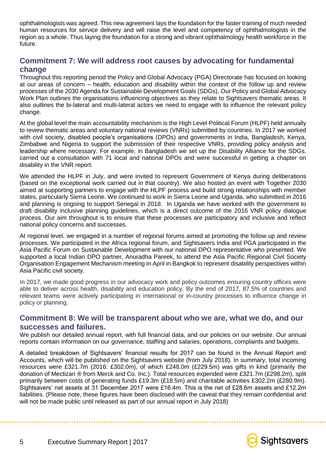ophthalmologists was agreed. This new agreement lays the foundation for the faster training of much needed human resources for service delivery and will raise the level and competency of ophthalmologists in the region as a whole. Thus laying the foundation for a strong and vibrant ophthalmology health workforce in the future.

#### **Commitment 7: We will address root causes by advocating for fundamental change**

Throughout this reporting period the Policy and Global Advocacy (PGA) Directorate has focused on looking at our areas of concern – health, education and disability within the context of the follow up and review processes of the 2030 Agenda for Sustainable Development Goals (SDGs). Our Policy and Global Advocacy Work Plan outlines the organisations influencing objectives as they relate to Sightsavers thematic areas. It also outlines the bi-lateral and multi-lateral actors we need to engage with to influence the relevant policy change.

At the global level the main accountability mechanism is the High Level Political Forum (HLPF) held annually to review thematic areas and voluntary national reviews (VNRs) submitted by countries. In 2017 we worked with civil society, disabled people's organisations (DPOs) and governments in India, Bangladesh, Kenya, Zimbabwe and Nigeria to support the submission of their respective VNRs, providing policy analysis and leadership where necessary. For example, in Bangladesh we set up the Disability Alliance for the SDGs, carried out a consultation with 71 local and national DPOs and were successful in getting a chapter on disability in the VNR report.

We attended the HLPF in July, and were invited to represent Government of Kenya during deliberations (based on the exceptional work carried out in that country). We also hosted an event with Together 2030 aimed at supporting partners to engage with the HLPF process and build strong relationships with member states, particularly Sierra Leone. We continued to work in Sierra Leone and Uganda, who submitted in 2016 and planning is ongoing to support Senegal in 2018. In Uganda we have worked with the government to draft disability inclusive planning guidelines, which is a direct outcome of the 2016 VNR policy dialogue process. Our aim throughout is to ensure that these processes are participatory and inclusive and reflect national policy concerns and successes.

At regional level, we engaged in a number of regional forums aimed at promoting the follow up and review processes. We participated in the Africa regional forum, and Sightsavers India and PGA participated in the Asia Pacific Forum on Sustainable Development with our national DPO representative who presented. We supported a local Indian DPO partner, Anuradha Pareek, to attend the Asia Pacific Regional Civil Society Organisation Engagement Mechanism meeting in April in Bangkok to represent disability perspectives within Asia Pacific civil society.

In 2017, we made good progress in our advocacy work and policy outcomes ensuring country offices were able to deliver across health, disability and education policy. By the end of 2017, 87.5% of countries and relevant teams were actively participating in international or in-country processes to influence change in policy or planning.

#### **Commitment 8: We will be transparent about who we are, what we do, and our successes and failures.**

We publish our detailed annual report, with full financial data, and our policies on our website. Our annual reports contain information on our governance, staffing and salaries, operations, complaints and budgets.

A detailed breakdown of Sightsavers' financial results for 2017 can be found in the Annual Report and Accounts, which will be published on the Sightsavers website (from July 2018). In summary, total incoming resources were £321.7m (2016: £302.0m), of which £248.0m (£229.5m) was gifts in kind (primarily the donation of Mectizan ® from Merck and Co. Inc.). Total resources expended were £321.7m (£298.2m), split primarily between costs of generating funds £19.3m (£18.5m) and charitable activities £302.2m (£280.9m). Sightsavers' net assets at 31 December 2017 were £16.4m. This is the net of £28.6m assets and £12.2m liabilities. (Please note, these figures have been disclosed with the caveat that they remain confidential and will not be made public until released as part of our annual report in July 2018)

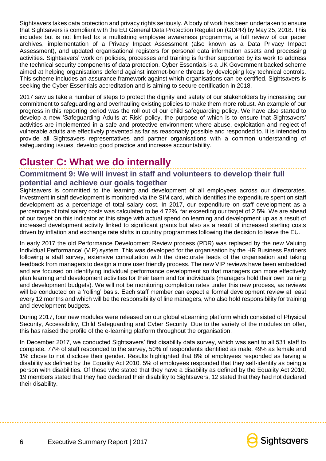Sightsavers takes data protection and privacy rights seriously. A body of work has been undertaken to ensure that Sightsavers is compliant with the EU General Data Protection Regulation (GDPR) by May 25, 2018. This includes but is not limited to: a multistring employee awareness programme, a full review of our paper archives, implementation of a Privacy Impact Assessment (also known as a Data Privacy Impact Assessment), and updated organisational registers for personal data information assets and processing activities. Sightsavers' work on policies, processes and training is further supported by its work to address the technical security components of data protection. Cyber Essentials is a UK Government backed scheme aimed at helping organisations defend against internet-borne threats by developing key technical controls. This scheme includes an assurance framework against which organisations can be certified. Sightsavers is seeking the Cyber Essentials accreditation and is aiming to secure certification in 2018.

2017 saw us take a number of steps to protect the dignity and safety of our stakeholders by increasing our commitment to safeguarding and overhauling existing policies to make them more robust. An example of our progress in this reporting period was the roll out of our child safeguarding policy. We have also started to develop a new 'Safeguarding Adults at Risk' policy, the purpose of which is to ensure that Sightsavers' activities are implemented in a safe and protective environment where abuse, exploitation and neglect of vulnerable adults are effectively prevented as far as reasonably possible and responded to. It is intended to provide all Sightsavers representatives and partner organisations with a common understanding of safeguarding issues, develop good practice and increase accountability.

## **Cluster C: What we do internally**

#### **Commitment 9: We will invest in staff and volunteers to develop their full potential and achieve our goals together**

Sightsavers is committed to the learning and development of all employees across our directorates. Investment in staff development is monitored via the SIM card, which identifies the expenditure spent on staff development as a percentage of total salary cost. In 2017, our expenditure on staff development as a percentage of total salary costs was calculated to be 4.72%, far exceeding our target of 2.5%. We are ahead of our target on this indicator at this stage with actual spend on learning and development up as a result of increased development activity linked to significant grants but also as a result of increased sterling costs driven by inflation and exchange rate shifts in country programmes following the decision to leave the EU.

In early 2017 the old Performance Development Review process (PDR) was replaced by the new Valuing Individual Performance' (VIP) system. This was developed for the organisation by the HR Business Partners following a staff survey, extensive consultation with the directorate leads of the organisation and taking feedback from managers to design a more user friendly process. The new VIP reviews have been embedded and are focused on identifying individual performance development so that managers can more effectively plan learning and development activities for their team and for individuals (managers hold their own training and development budgets). We will not be monitoring completion rates under this new process, as reviews will be conducted on a 'rolling' basis. Each staff member can expect a formal development review at least every 12 months and which will be the responsibility of line managers, who also hold responsibility for training and development budgets.

During 2017, four new modules were released on our global eLearning platform which consisted of Physical Security, Accessibility, Child Safeguarding and Cyber Security. Due to the variety of the modules on offer, this has raised the profile of the e-learning platform throughout the organisation.

In December 2017, we conducted Sightsavers' first disability data survey, which was sent to all 531 staff to complete. 77% of staff responded to the survey, 50% of respondents identified as male, 49% as female and 1% chose to not disclose their gender. Results highlighted that 8% of employees responded as having a disability as defined by the Equality Act 2010. 5% of employees responded that they self-identify as being a person with disabilities*.* Of those who stated that they have a disability as defined by the Equality Act 2010, 19 members stated that they had declared their disability to Sightsavers, 12 stated that they had not declared their disability.

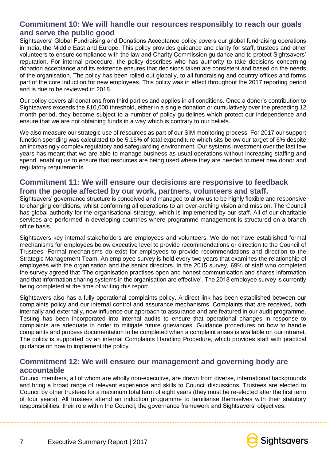#### **Commitment 10: We will handle our resources responsibly to reach our goals and serve the public good**

Sightsavers' Global Fundraising and Donations Acceptance policy covers our global fundraising operations in India, the Middle East and Europe. This policy provides guidance and clarity for staff, trustees and other volunteers to ensure compliance with the law and Charity Commission guidance and to protect Sightsavers' reputation. For internal procedure, the policy describes who has authority to take decisions concerning donation acceptance and its existence ensures that decisions taken are consistent and based on the needs of the organisation. The policy has been rolled out globally, to all fundraising and country offices and forms part of the core induction for new employees. This policy was in effect throughout the 2017 reporting period and is due to be reviewed in 2018.

Our policy covers all donations from third parties and applies in all conditions. Once a donor's contribution to Sightsavers exceeds the £10,000 threshold, either in a single donation or cumulatively over the preceding 12 month period, they become subject to a number of policy guidelines which protect our independence and ensure that we are not obtaining funds in a way which is contrary to our beliefs.

We also measure our strategic use of resources as part of our SIM monitoring process. For 2017 our support function spending was calculated to be 5.16% of total expenditure which sits below our target of 6% despite an increasingly complex regulatory and safeguarding environment. Our systems investment over the last few years has meant that we are able to manage business as usual operations without increasing staffing and spend, enabling us to ensure that resources are being used where they are needed to meet new donor and regulatory requirements.

#### **Commitment 11: We will ensure our decisions are responsive to feedback from the people affected by our work, partners, volunteers and staff.**

Sightsavers' governance structure is conceived and managed to allow us to be highly flexible and responsive to changing conditions, whilst conforming all operations to an over-arching vision and mission. The Council has global authority for the organisational strategy, which is implemented by our staff. All of our charitable services are performed in developing countries where programme management is structured on a branch office basis.

Sightsavers key internal stakeholders are employees and volunteers. We do not have established formal mechanisms for employees below executive level to provide recommendations or direction to the Council of Trustees. Formal mechanisms do exist for employees to provide recommendations and direction to the Strategic Management Team. An employee survey is held every two years that examines the relationship of employees with the organisation and the senior directors. In the 2015 survey, 69% of staff who completed the survey agreed that 'The organisation practises open and honest communication and shares information and that information sharing systems in the organisation are effective'. The 2018 employee survey is currently being completed at the time of writing this report.

Sightsavers also has a fully operational complaints policy. A direct link has been established between our complaints policy and our internal control and assurance mechanisms. Complaints that are received, both internally and externally, now influence our approach to assurance and are featured in our audit programme. Testing has been incorporated into internal audits to ensure that operational changes in response to complaints are adequate in order to mitigate future grievances. Guidance procedures on how to handle complaints and process documentation to be completed when a complaint arises is available on our intranet. The policy is supported by an internal Complaints Handling Procedure, which provides staff with practical guidance on how to implement the policy.

#### **Commitment 12: We will ensure our management and governing body are accountable**

Council members, all of whom are wholly non-executive, are drawn from diverse, international backgrounds and bring a broad range of relevant experience and skills to Council discussions. Trustees are elected to Council by other trustees for a maximum total term of eight years (they must be re-elected after the first term of four years). All trustees attend an induction programme to familiarise themselves with their statutory responsibilities, their role within the Council, the governance framework and Sightsavers' objectives.